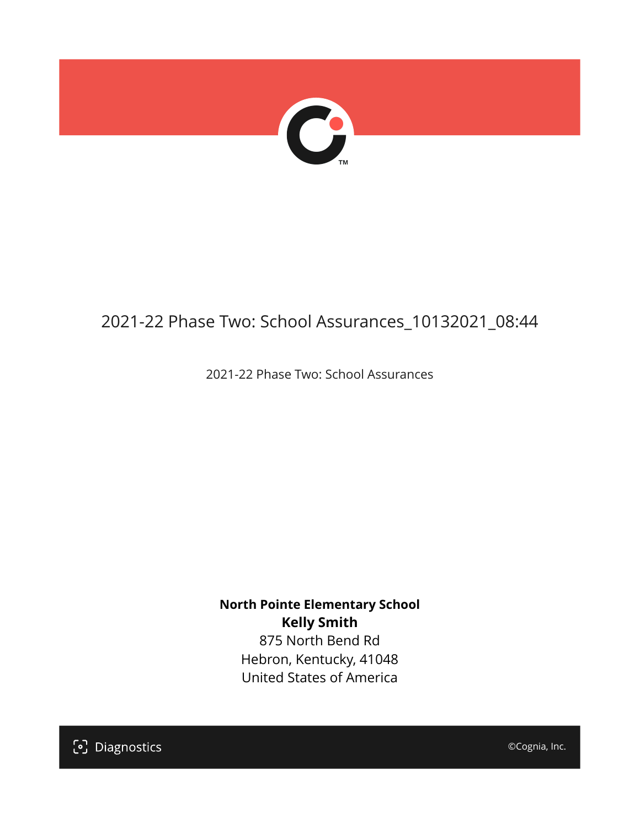

# 2021-22 Phase Two: School Assurances\_10132021\_08:44

2021-22 Phase Two: School Assurances

**North Pointe Elementary School Kelly Smith** 875 North Bend Rd

Hebron, Kentucky, 41048 United States of America

[၁] Diagnostics

©Cognia, Inc.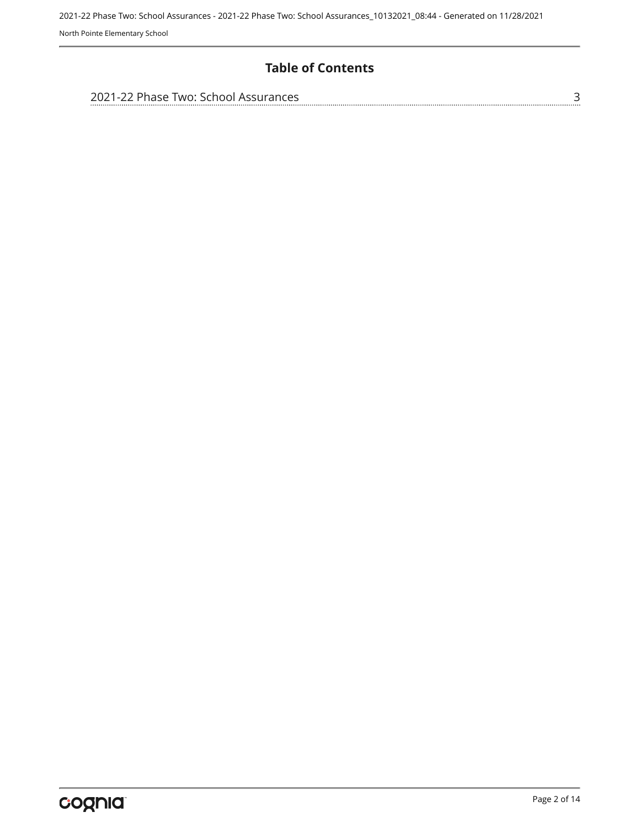### **Table of Contents**

| 2021-22 Phase Two: School Assurances |  |
|--------------------------------------|--|
|                                      |  |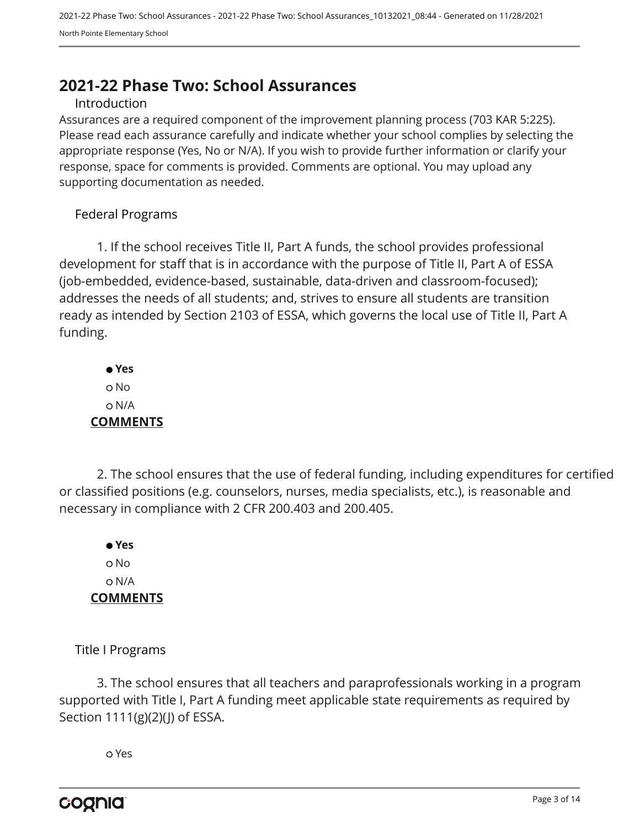# <span id="page-2-0"></span>**2021-22 Phase Two: School Assurances**

#### Introduction

Assurances are a required component of the improvement planning process (703 KAR 5:225). Please read each assurance carefully and indicate whether your school complies by selecting the appropriate response (Yes, No or N/A). If you wish to provide further information or clarify your response, space for comments is provided. Comments are optional. You may upload any supporting documentation as needed.

#### Federal Programs

1. If the school receives Title II, Part A funds, the school provides professional development for staff that is in accordance with the purpose of Title II, Part A of ESSA (job-embedded, evidence-based, sustainable, data-driven and classroom-focused); addresses the needs of all students; and, strives to ensure all students are transition ready as intended by Section 2103 of ESSA, which governs the local use of Title II, Part A funding.

 **Yes** o No N/A **COMMENTS**

2. The school ensures that the use of federal funding, including expenditures for certified or classified positions (e.g. counselors, nurses, media specialists, etc.), is reasonable and necessary in compliance with 2 CFR 200.403 and 200.405.

 **Yes** o No N/A **COMMENTS**

Title I Programs

3. The school ensures that all teachers and paraprofessionals working in a program supported with Title I, Part A funding meet applicable state requirements as required by Section 1111(g)(2)(J) of ESSA.

Yes

cognia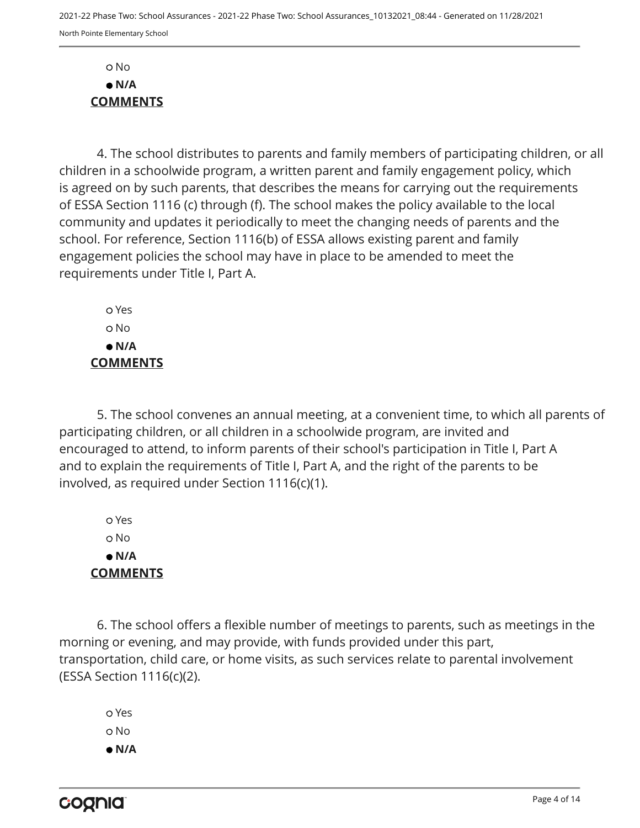No  **N/A COMMENTS**

4. The school distributes to parents and family members of participating children, or all children in a schoolwide program, a written parent and family engagement policy, which is agreed on by such parents, that describes the means for carrying out the requirements of ESSA Section 1116 (c) through (f). The school makes the policy available to the local community and updates it periodically to meet the changing needs of parents and the school. For reference, Section 1116(b) of ESSA allows existing parent and family engagement policies the school may have in place to be amended to meet the requirements under Title I, Part A.

 Yes No  **N/A COMMENTS**

5. The school convenes an annual meeting, at a convenient time, to which all parents of participating children, or all children in a schoolwide program, are invited and encouraged to attend, to inform parents of their school's participation in Title I, Part A and to explain the requirements of Title I, Part A, and the right of the parents to be involved, as required under Section 1116(c)(1).

 Yes o No  **N/A COMMENTS**

6. The school offers a flexible number of meetings to parents, such as meetings in the morning or evening, and may provide, with funds provided under this part, transportation, child care, or home visits, as such services relate to parental involvement (ESSA Section 1116(c)(2).

 Yes o No  **N/A**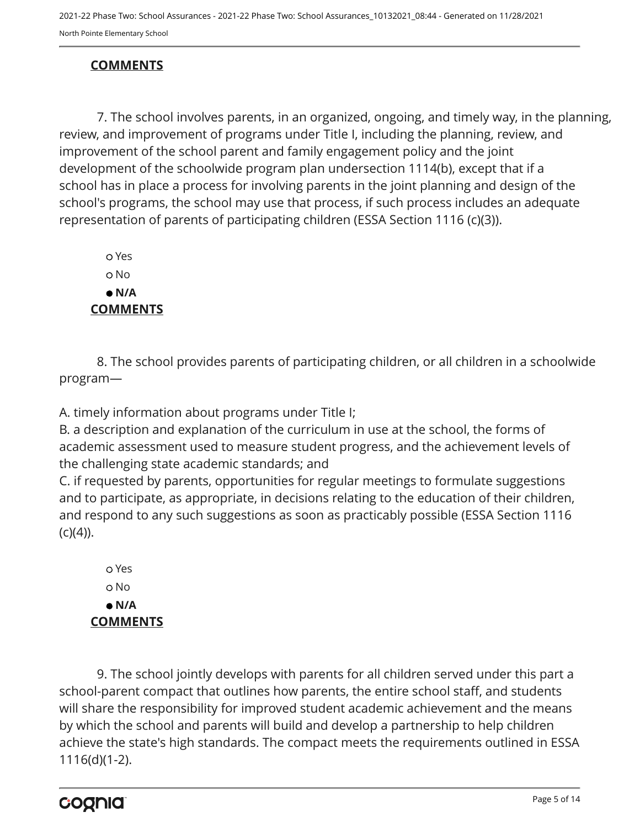## **COMMENTS**

7. The school involves parents, in an organized, ongoing, and timely way, in the planning, review, and improvement of programs under Title I, including the planning, review, and improvement of the school parent and family engagement policy and the joint development of the schoolwide program plan undersection 1114(b), except that if a school has in place a process for involving parents in the joint planning and design of the school's programs, the school may use that process, if such process includes an adequate representation of parents of participating children (ESSA Section 1116 (c)(3)).

 Yes o No  **N/A COMMENTS**

8. The school provides parents of participating children, or all children in a schoolwide program—

A. timely information about programs under Title I;

B. a description and explanation of the curriculum in use at the school, the forms of academic assessment used to measure student progress, and the achievement levels of the challenging state academic standards; and

C. if requested by parents, opportunities for regular meetings to formulate suggestions and to participate, as appropriate, in decisions relating to the education of their children, and respond to any such suggestions as soon as practicably possible (ESSA Section 1116  $(c)(4)$ ).

 Yes o No  **N/A COMMENTS**

9. The school jointly develops with parents for all children served under this part a school-parent compact that outlines how parents, the entire school staff, and students will share the responsibility for improved student academic achievement and the means by which the school and parents will build and develop a partnership to help children achieve the state's high standards. The compact meets the requirements outlined in ESSA 1116(d)(1-2).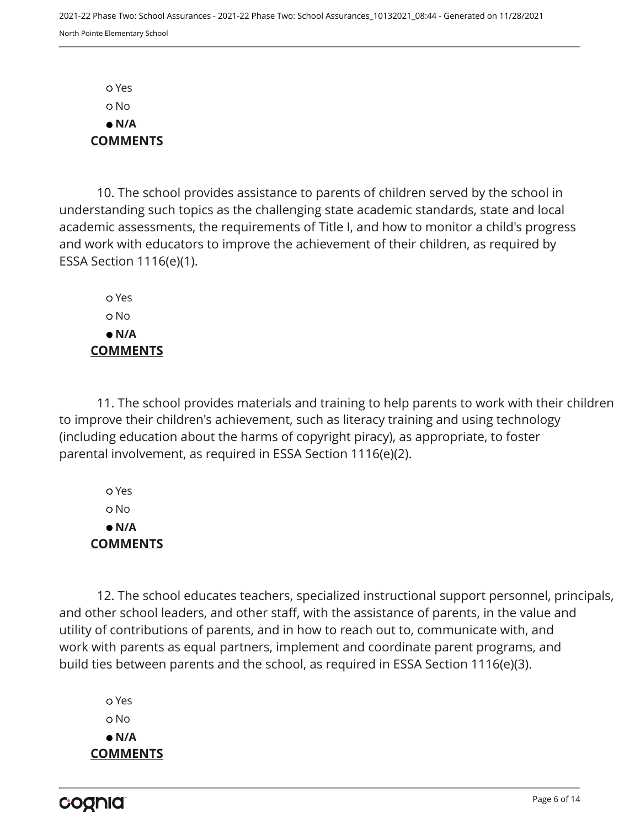Yes No  **N/A COMMENTS**

10. The school provides assistance to parents of children served by the school in understanding such topics as the challenging state academic standards, state and local academic assessments, the requirements of Title I, and how to monitor a child's progress and work with educators to improve the achievement of their children, as required by ESSA Section 1116(e)(1).

 Yes o No  **N/A COMMENTS**

11. The school provides materials and training to help parents to work with their children to improve their children's achievement, such as literacy training and using technology (including education about the harms of copyright piracy), as appropriate, to foster parental involvement, as required in ESSA Section 1116(e)(2).

 Yes No  **N/A COMMENTS**

12. The school educates teachers, specialized instructional support personnel, principals, and other school leaders, and other staff, with the assistance of parents, in the value and utility of contributions of parents, and in how to reach out to, communicate with, and work with parents as equal partners, implement and coordinate parent programs, and build ties between parents and the school, as required in ESSA Section 1116(e)(3).

 Yes o No  **N/A COMMENTS**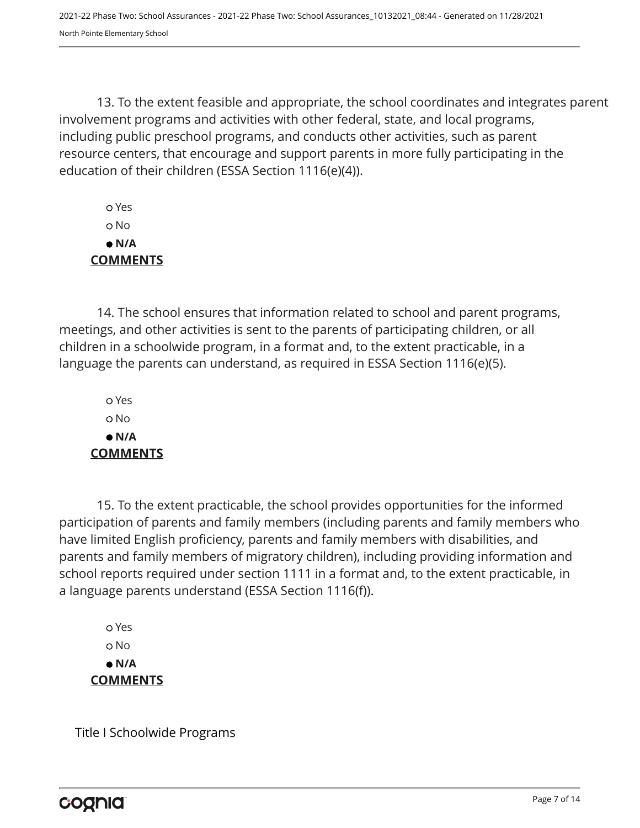13. To the extent feasible and appropriate, the school coordinates and integrates parent involvement programs and activities with other federal, state, and local programs, including public preschool programs, and conducts other activities, such as parent resource centers, that encourage and support parents in more fully participating in the education of their children (ESSA Section 1116(e)(4)).

 Yes No  **N/A COMMENTS**

14. The school ensures that information related to school and parent programs, meetings, and other activities is sent to the parents of participating children, or all children in a schoolwide program, in a format and, to the extent practicable, in a language the parents can understand, as required in ESSA Section 1116(e)(5).

 Yes o No  **N/A COMMENTS**

15. To the extent practicable, the school provides opportunities for the informed participation of parents and family members (including parents and family members who have limited English proficiency, parents and family members with disabilities, and parents and family members of migratory children), including providing information and school reports required under section 1111 in a format and, to the extent practicable, in a language parents understand (ESSA Section 1116(f)).

 Yes o No  **N/A COMMENTS**

Title I Schoolwide Programs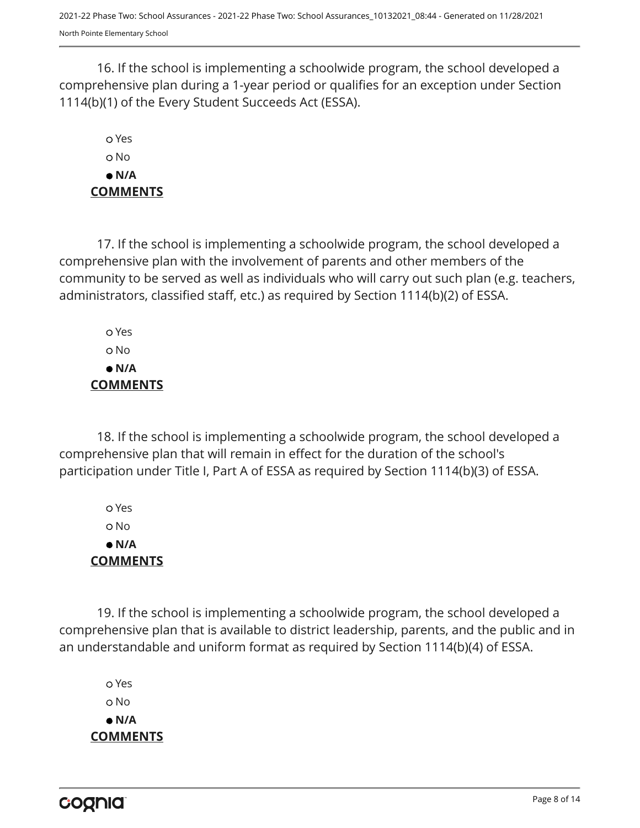16. If the school is implementing a schoolwide program, the school developed a comprehensive plan during a 1-year period or qualifies for an exception under Section 1114(b)(1) of the Every Student Succeeds Act (ESSA).

# Yes No  **N/A COMMENTS**

17. If the school is implementing a schoolwide program, the school developed a comprehensive plan with the involvement of parents and other members of the community to be served as well as individuals who will carry out such plan (e.g. teachers, administrators, classified staff, etc.) as required by Section 1114(b)(2) of ESSA.

 Yes No  **N/A COMMENTS**

18. If the school is implementing a schoolwide program, the school developed a comprehensive plan that will remain in effect for the duration of the school's participation under Title I, Part A of ESSA as required by Section 1114(b)(3) of ESSA.

 Yes No  **N/A COMMENTS**

19. If the school is implementing a schoolwide program, the school developed a comprehensive plan that is available to district leadership, parents, and the public and in an understandable and uniform format as required by Section 1114(b)(4) of ESSA.

 Yes o No  **N/A COMMENTS**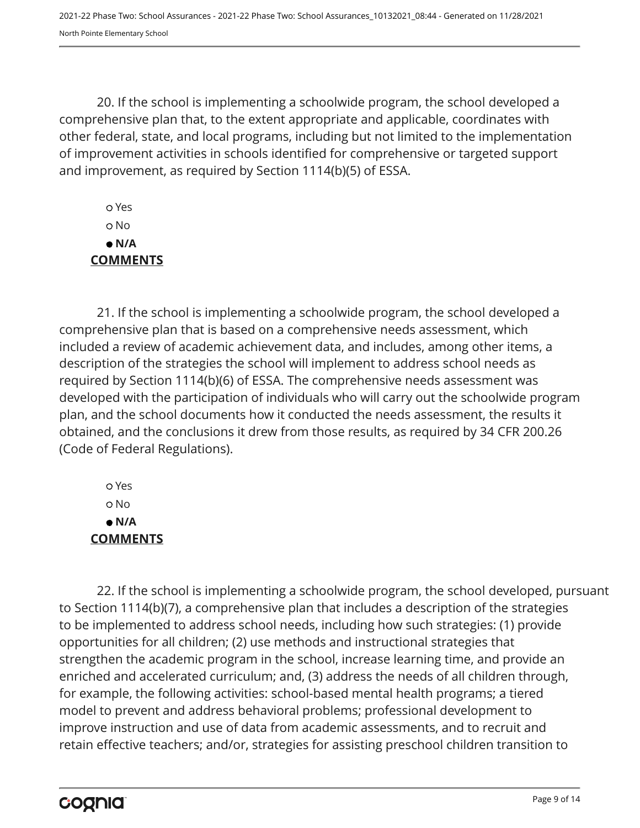20. If the school is implementing a schoolwide program, the school developed a comprehensive plan that, to the extent appropriate and applicable, coordinates with other federal, state, and local programs, including but not limited to the implementation of improvement activities in schools identified for comprehensive or targeted support and improvement, as required by Section 1114(b)(5) of ESSA.

 Yes No  **N/A COMMENTS**

21. If the school is implementing a schoolwide program, the school developed a comprehensive plan that is based on a comprehensive needs assessment, which included a review of academic achievement data, and includes, among other items, a description of the strategies the school will implement to address school needs as required by Section 1114(b)(6) of ESSA. The comprehensive needs assessment was developed with the participation of individuals who will carry out the schoolwide program plan, and the school documents how it conducted the needs assessment, the results it obtained, and the conclusions it drew from those results, as required by 34 CFR 200.26 (Code of Federal Regulations).

 Yes No  **N/A COMMENTS**

22. If the school is implementing a schoolwide program, the school developed, pursuant to Section 1114(b)(7), a comprehensive plan that includes a description of the strategies to be implemented to address school needs, including how such strategies: (1) provide opportunities for all children; (2) use methods and instructional strategies that strengthen the academic program in the school, increase learning time, and provide an enriched and accelerated curriculum; and, (3) address the needs of all children through, for example, the following activities: school-based mental health programs; a tiered model to prevent and address behavioral problems; professional development to improve instruction and use of data from academic assessments, and to recruit and retain effective teachers; and/or, strategies for assisting preschool children transition to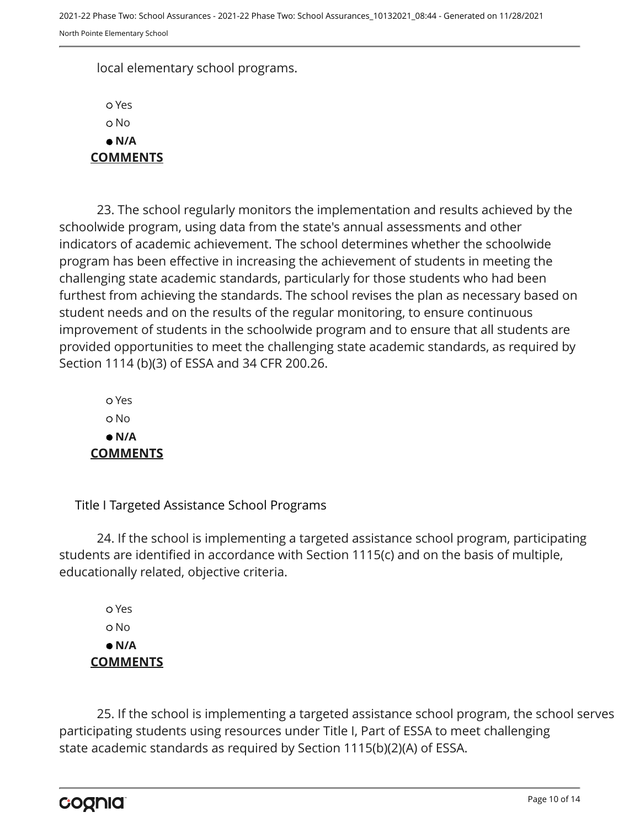local elementary school programs.

 Yes o No  **N/A COMMENTS**

23. The school regularly monitors the implementation and results achieved by the schoolwide program, using data from the state's annual assessments and other indicators of academic achievement. The school determines whether the schoolwide program has been effective in increasing the achievement of students in meeting the challenging state academic standards, particularly for those students who had been furthest from achieving the standards. The school revises the plan as necessary based on student needs and on the results of the regular monitoring, to ensure continuous improvement of students in the schoolwide program and to ensure that all students are provided opportunities to meet the challenging state academic standards, as required by Section 1114 (b)(3) of ESSA and 34 CFR 200.26.

 Yes o No  **N/A COMMENTS**

Title I Targeted Assistance School Programs

24. If the school is implementing a targeted assistance school program, participating students are identified in accordance with Section 1115(c) and on the basis of multiple, educationally related, objective criteria.

 Yes o No  **N/A COMMENTS**

25. If the school is implementing a targeted assistance school program, the school serves participating students using resources under Title I, Part of ESSA to meet challenging state academic standards as required by Section 1115(b)(2)(A) of ESSA.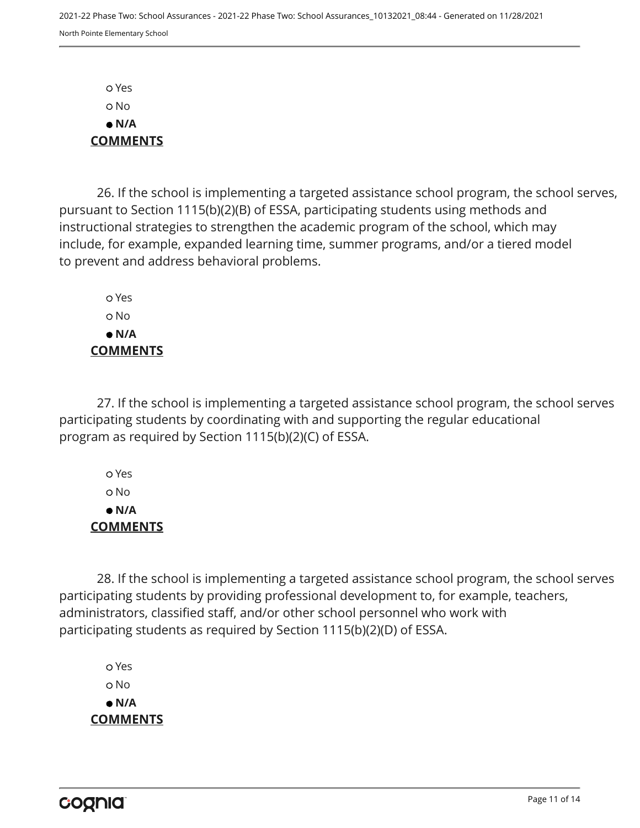Yes No  **N/A COMMENTS**

26. If the school is implementing a targeted assistance school program, the school serves, pursuant to Section 1115(b)(2)(B) of ESSA, participating students using methods and instructional strategies to strengthen the academic program of the school, which may include, for example, expanded learning time, summer programs, and/or a tiered model to prevent and address behavioral problems.

 Yes o No  **N/A COMMENTS**

27. If the school is implementing a targeted assistance school program, the school serves participating students by coordinating with and supporting the regular educational program as required by Section 1115(b)(2)(C) of ESSA.

 Yes No  **N/A COMMENTS**

28. If the school is implementing a targeted assistance school program, the school serves participating students by providing professional development to, for example, teachers, administrators, classified staff, and/or other school personnel who work with participating students as required by Section 1115(b)(2)(D) of ESSA.

 Yes o No  **N/A COMMENTS**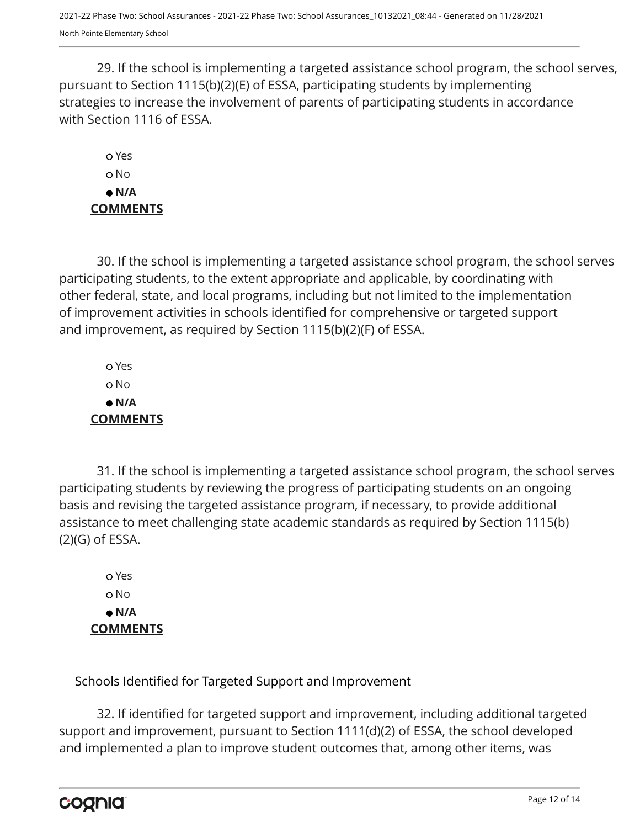29. If the school is implementing a targeted assistance school program, the school serves, pursuant to Section 1115(b)(2)(E) of ESSA, participating students by implementing strategies to increase the involvement of parents of participating students in accordance with Section 1116 of ESSA.

 Yes o No  **N/A COMMENTS**

30. If the school is implementing a targeted assistance school program, the school serves participating students, to the extent appropriate and applicable, by coordinating with other federal, state, and local programs, including but not limited to the implementation of improvement activities in schools identified for comprehensive or targeted support and improvement, as required by Section 1115(b)(2)(F) of ESSA.

 Yes No  **N/A COMMENTS**

31. If the school is implementing a targeted assistance school program, the school serves participating students by reviewing the progress of participating students on an ongoing basis and revising the targeted assistance program, if necessary, to provide additional assistance to meet challenging state academic standards as required by Section 1115(b) (2)(G) of ESSA.

 Yes o No  **N/A COMMENTS**

Schools Identified for Targeted Support and Improvement

32. If identified for targeted support and improvement, including additional targeted support and improvement, pursuant to Section 1111(d)(2) of ESSA, the school developed and implemented a plan to improve student outcomes that, among other items, was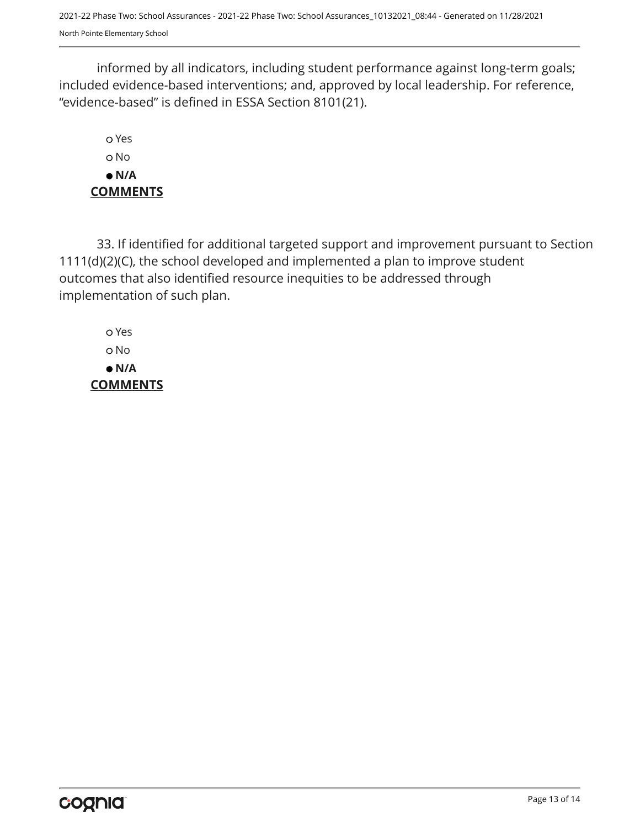2021-22 Phase Two: School Assurances - 2021-22 Phase Two: School Assurances\_10132021\_08:44 - Generated on 11/28/2021 North Pointe Elementary School

informed by all indicators, including student performance against long-term goals; included evidence-based interventions; and, approved by local leadership. For reference, "evidence-based" is defined in ESSA Section 8101(21).

 Yes o No  **N/A COMMENTS**

33. If identified for additional targeted support and improvement pursuant to Section 1111(d)(2)(C), the school developed and implemented a plan to improve student outcomes that also identified resource inequities to be addressed through implementation of such plan.

 Yes No  **N/A COMMENTS**